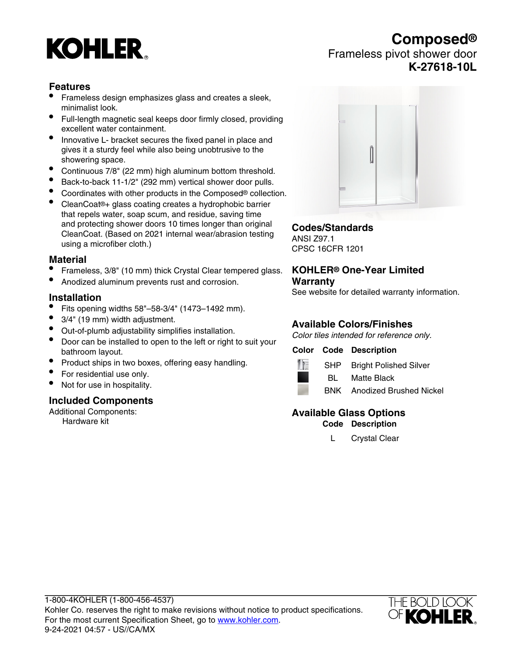# **KOHLER**

# **Composed®** Frameless pivot shower door **K-27618-10L**

# **Features**

- Frameless design emphasizes glass and creates a sleek, minimalist look.
- Full-length magnetic seal keeps door firmly closed, providing excellent water containment.
- Innovative L- bracket secures the fixed panel in place and gives it a sturdy feel while also being unobtrusive to the showering space.
- Continuous 7/8" (22 mm) high aluminum bottom threshold.
- Back-to-back 11-1/2" (292 mm) vertical shower door pulls.
- Coordinates with other products in the Composed® collection.
- CleanCoat®+ glass coating creates a hydrophobic barrier that repels water, soap scum, and residue, saving time and protecting shower doors 10 times longer than original CleanCoat. (Based on 2021 internal wear/abrasion testing using a microfiber cloth.)

#### **Material**

- Frameless, 3/8" (10 mm) thick Crystal Clear tempered glass.
- Anodized aluminum prevents rust and corrosion.

#### **Installation**

- Fits opening widths 58"–58-3/4" (1473–1492 mm).
- 3/4" (19 mm) width adjustment.
- Out-of-plumb adjustability simplifies installation.
- Door can be installed to open to the left or right to suit your bathroom layout.
- Product ships in two boxes, offering easy handling.
- For residential use only.
- Not for use in hospitality.

#### **Included Components**

Additional Components: Hardware kit



# **Codes/Standards**

ANSI Z97.1 CPSC 16CFR 1201

#### **KOHLER® One-Year Limited Warranty**

See website for detailed warranty information.

# **Available Colors/Finishes**

Color tiles intended for reference only.

#### **Color Code Description**



SHP Bright Polished Silver

BL Matte Black



BNK Anodized Brushed Nickel

# **Available Glass Options**

**Code Description**

L Crystal Clear